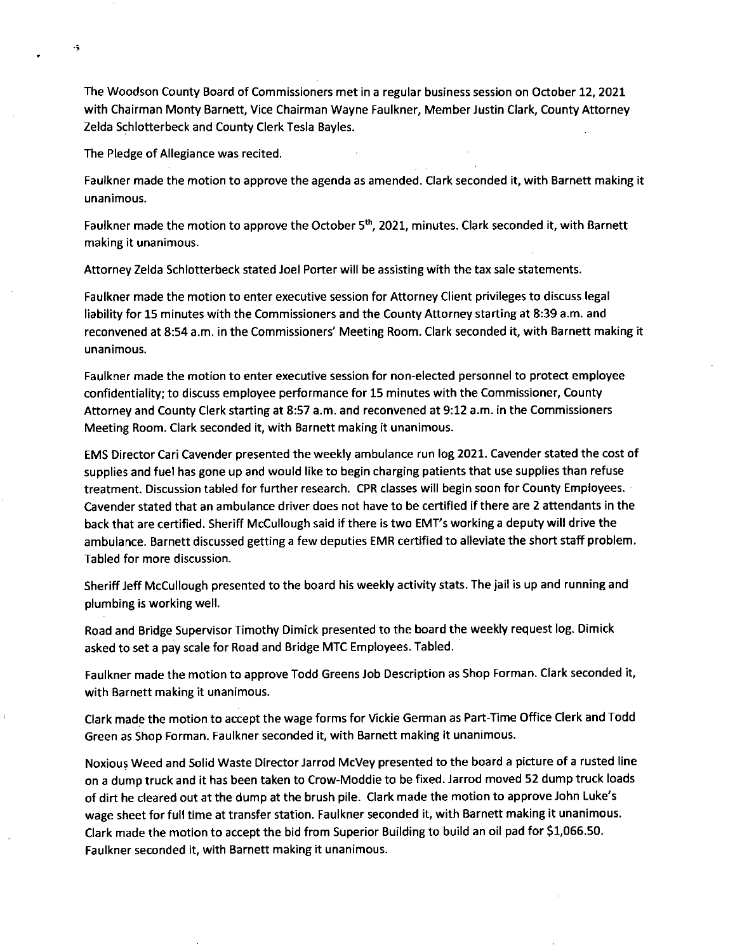The Woodson County Board of Commissioners met in a regular business session on October 12, 2021 with Chairman Monty Barnett, Vice Chairman Wayne Faulkner, Member Justin Clark, County Attorney Zelda Schlotterbeck and County Clerk Tesla Bayles.

The Pledge of Allegiance was recited.

 $\ddot{\bullet}$ 

Faulkner made the motion to approve the agenda as amended. Clark seconded it, with Barnett making it unanimous.

Faulkner made the motion to approve the October 5<sup>th</sup>, 2021, minutes. Clark seconded it, with Barnett making it unanimous.

Attorney Zelda Schlotterbeck stated Joel Porter will be assisting with the tax sale statements.

Faulkner made the motion to enter executive session for Attorney Client privileges to discuss legal liability for 15 minutes with the Commissioners and the County Attorney starting at 8:39 a.m. and reconvened at 8:54 a.m. in the Commissioners' Meeting Room. Clark seconded it, with Barnett making it unanimous.

Faulkner made the motion to enter executive session for non-elected personnel to protect employee confidentiality; to discuss employee performance for 15 minutes with the Commissioner, County Attorney and County Clerk starting at 8:57 a.m. and reconvened at 9:12 a.m. in the Commissioners Meeting Room. Clark seconded it, with Barnett making it unanimous.

EMS Director Cari Cavender presented the weekly ambulance run log 2021. Cavender stated the cost of supplies and fuel has gone up and would like to begin charging patients that use supplies than refuse treatment. Discussion tabled for further research. CPR classes will begin soon for County Employees. Cavender stated that an ambulance driver does not have to be certified if there are 2 attendants in the back that are certified. Sheriff McCullough said if there is two EMI's working a deputy will drive the ambulance. Barnett discussed getting a few deputies EMR certified to alleviate the short staff problem. Tabled for more discussion.

Sheriff Jeff McCullough presented to the board his weekly activity stats. The jail is up and running and plumbing is working well.

Road and Bridge Supervisor Timothy Dimick presented to the board the weekly request log. Dimick asked to set a pay scale for Road and Bridge MTC Employees. Tabled.

Faulkner made the motion to approve Todd Greens Job Description as Shop Forman. Clark seconded it, with Barnett making it unanimous.

Clark made the motion to accept the wage forms for Vickie German as Part-Time Office Clerk and Todd Green as Shop Forman. Faulkner seconded it, with Barnett making it unanimous.

Noxious Weed and Solid Waste Director Jarrod McVey presented to the board a picture of a rusted line on a dump truck and it has been taken to Crow-Moddie to be fixed. Jarrod moved 52 dump truck loads of dirt he cleared out at the dump at the brush pile. Clark made the motion to approve John Luke's wage sheet for full time at transfer station. Faulkner seconded it, with Barnett making it unanimous. Clark made the motion to accept the bid from Superior Building to build an oil pad for \$1,066.50. Faulkner seconded it, with Barnett making it unanimous.